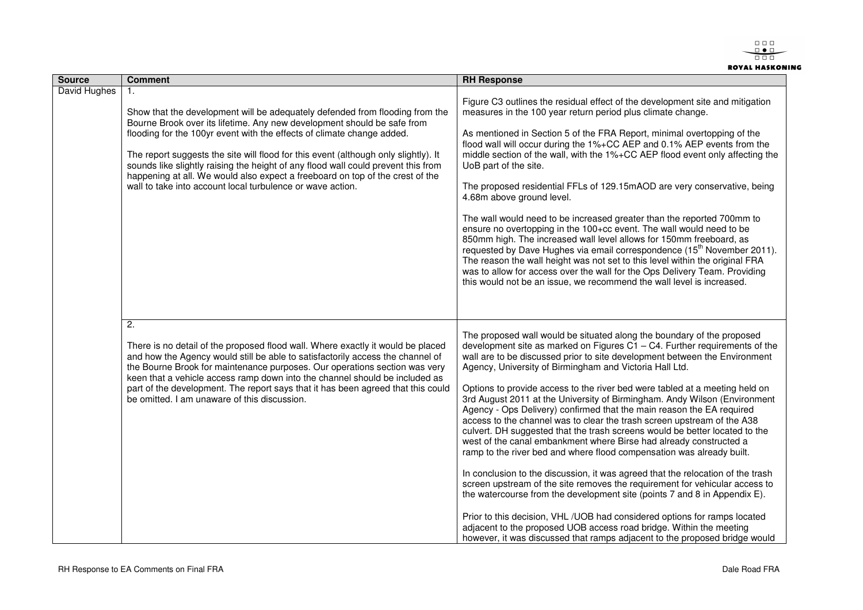$\begin{array}{c} 0 & 0 & 0 \\ 0 & 0 & 0 \\ \hline \end{array}$  $\begin{array}{c} 0 & 0 \\ 0 & 0 \end{array}$ **ROYAL HASKONING** 

| <b>Source</b> | <b>Comment</b>                                                                                                                                                                                                                                                                                                                                                                                                                                                                                                                                                     | <b>RH Response</b>                                                                                                                                                                                                                                                                                                                                                                                                                                                                                                                                                                                                                                                                                                                                                                                                                                                                                                                                                                                                                                                                                                                                                                                                                                                                                                             |
|---------------|--------------------------------------------------------------------------------------------------------------------------------------------------------------------------------------------------------------------------------------------------------------------------------------------------------------------------------------------------------------------------------------------------------------------------------------------------------------------------------------------------------------------------------------------------------------------|--------------------------------------------------------------------------------------------------------------------------------------------------------------------------------------------------------------------------------------------------------------------------------------------------------------------------------------------------------------------------------------------------------------------------------------------------------------------------------------------------------------------------------------------------------------------------------------------------------------------------------------------------------------------------------------------------------------------------------------------------------------------------------------------------------------------------------------------------------------------------------------------------------------------------------------------------------------------------------------------------------------------------------------------------------------------------------------------------------------------------------------------------------------------------------------------------------------------------------------------------------------------------------------------------------------------------------|
| David Hughes  | 1.<br>Show that the development will be adequately defended from flooding from the<br>Bourne Brook over its lifetime. Any new development should be safe from<br>flooding for the 100yr event with the effects of climate change added.<br>The report suggests the site will flood for this event (although only slightly). It<br>sounds like slightly raising the height of any flood wall could prevent this from<br>happening at all. We would also expect a freeboard on top of the crest of the<br>wall to take into account local turbulence or wave action. | Figure C3 outlines the residual effect of the development site and mitigation<br>measures in the 100 year return period plus climate change.<br>As mentioned in Section 5 of the FRA Report, minimal overtopping of the<br>flood wall will occur during the 1%+CC AEP and 0.1% AEP events from the<br>middle section of the wall, with the 1%+CC AEP flood event only affecting the<br>UoB part of the site.<br>The proposed residential FFLs of 129.15mAOD are very conservative, being<br>4.68m above ground level.<br>The wall would need to be increased greater than the reported 700mm to<br>ensure no overtopping in the 100+cc event. The wall would need to be<br>850mm high. The increased wall level allows for 150mm freeboard, as<br>requested by Dave Hughes via email correspondence (15 <sup>th</sup> November 2011).<br>The reason the wall height was not set to this level within the original FRA<br>was to allow for access over the wall for the Ops Delivery Team. Providing<br>this would not be an issue, we recommend the wall level is increased.                                                                                                                                                                                                                                                   |
|               | $\overline{2}$ .<br>There is no detail of the proposed flood wall. Where exactly it would be placed<br>and how the Agency would still be able to satisfactorily access the channel of<br>the Bourne Brook for maintenance purposes. Our operations section was very<br>keen that a vehicle access ramp down into the channel should be included as<br>part of the development. The report says that it has been agreed that this could<br>be omitted. I am unaware of this discussion.                                                                             | The proposed wall would be situated along the boundary of the proposed<br>development site as marked on Figures $C1 - C4$ . Further requirements of the<br>wall are to be discussed prior to site development between the Environment<br>Agency, University of Birmingham and Victoria Hall Ltd.<br>Options to provide access to the river bed were tabled at a meeting held on<br>3rd August 2011 at the University of Birmingham. Andy Wilson (Environment<br>Agency - Ops Delivery) confirmed that the main reason the EA required<br>access to the channel was to clear the trash screen upstream of the A38<br>culvert. DH suggested that the trash screens would be better located to the<br>west of the canal embankment where Birse had already constructed a<br>ramp to the river bed and where flood compensation was already built.<br>In conclusion to the discussion, it was agreed that the relocation of the trash<br>screen upstream of the site removes the requirement for vehicular access to<br>the watercourse from the development site (points 7 and 8 in Appendix E).<br>Prior to this decision, VHL/UOB had considered options for ramps located<br>adjacent to the proposed UOB access road bridge. Within the meeting<br>however, it was discussed that ramps adjacent to the proposed bridge would |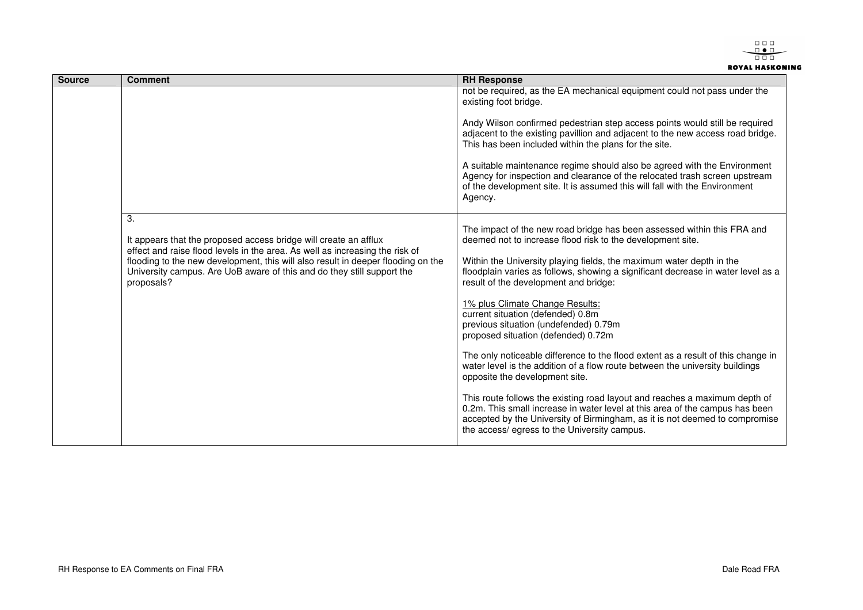$\begin{array}{c} 0 & 0 & 0 \\ 0 & 0 & 0 \\ \hline \end{array}$  $\begin{array}{c} 0 & 0 \\ 0 & 0 \end{array}$ **ROYAL HASKONING** 

| <b>Source</b> | <b>Comment</b>                                                                                                                                                                                                                                                                                                                     | <b>RH Response</b>                                                                                                                                                                                                                                                                       |
|---------------|------------------------------------------------------------------------------------------------------------------------------------------------------------------------------------------------------------------------------------------------------------------------------------------------------------------------------------|------------------------------------------------------------------------------------------------------------------------------------------------------------------------------------------------------------------------------------------------------------------------------------------|
|               | 3.<br>It appears that the proposed access bridge will create an afflux<br>effect and raise flood levels in the area. As well as increasing the risk of<br>flooding to the new development, this will also result in deeper flooding on the<br>University campus. Are UoB aware of this and do they still support the<br>proposals? | not be required, as the EA mechanical equipment could not pass under the<br>existing foot bridge.                                                                                                                                                                                        |
|               |                                                                                                                                                                                                                                                                                                                                    | Andy Wilson confirmed pedestrian step access points would still be required<br>adjacent to the existing pavillion and adjacent to the new access road bridge.<br>This has been included within the plans for the site.                                                                   |
|               |                                                                                                                                                                                                                                                                                                                                    | A suitable maintenance regime should also be agreed with the Environment<br>Agency for inspection and clearance of the relocated trash screen upstream<br>of the development site. It is assumed this will fall with the Environment<br>Agency.                                          |
|               |                                                                                                                                                                                                                                                                                                                                    | The impact of the new road bridge has been assessed within this FRA and<br>deemed not to increase flood risk to the development site.                                                                                                                                                    |
|               |                                                                                                                                                                                                                                                                                                                                    | Within the University playing fields, the maximum water depth in the<br>floodplain varies as follows, showing a significant decrease in water level as a<br>result of the development and bridge:                                                                                        |
|               |                                                                                                                                                                                                                                                                                                                                    | 1% plus Climate Change Results:<br>current situation (defended) 0.8m<br>previous situation (undefended) 0.79m<br>proposed situation (defended) 0.72m                                                                                                                                     |
|               |                                                                                                                                                                                                                                                                                                                                    | The only noticeable difference to the flood extent as a result of this change in<br>water level is the addition of a flow route between the university buildings<br>opposite the development site.                                                                                       |
|               |                                                                                                                                                                                                                                                                                                                                    | This route follows the existing road layout and reaches a maximum depth of<br>0.2m. This small increase in water level at this area of the campus has been<br>accepted by the University of Birmingham, as it is not deemed to compromise<br>the access/egress to the University campus. |